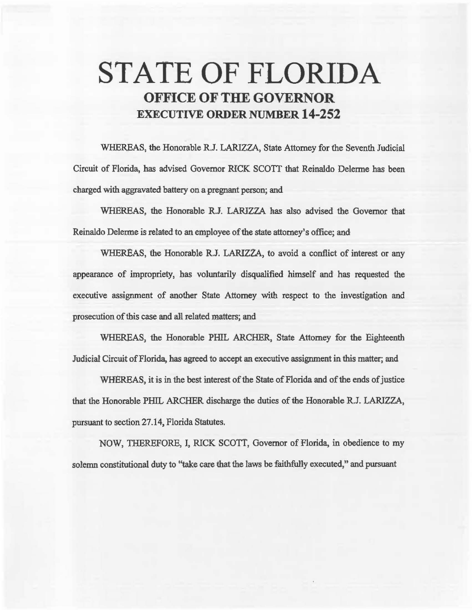## **STATE OF FLORIDA OFFICE OF THE GOVERNOR EXECUTIVE ORDER NUMBER 14-252**

WHEREAS, the Honorable R.J. LARIZZA, State Attorney for the Seventh Judicial Circuit of Florida, has advised Governor RICK SCOTI that Reinaldo Delerme has been charged with aggravated battery on a pregnant person; and

WHEREAS, the Honorable R.J. LARJZZA *has* also advised the Governor that Reinaldo Delerme is related to an employee of the state attorney's office; and

WHEREAS, the Honorable R.J. LARIZZA, to avoid a conflict of interest or any appearance of impropriety, has voluntarily disqualified himself and has requested the executive assignment of another State Attorney with respect to the investigation and prosecution of this case and all related matters; and

WHEREAS, the Honorable PHIL ARCHER, State Attorney for the Eighteenth Judicial Circuit of Florida, has agreed to accept an executive assignment in this matter; and

WHEREAS, it is in the best interest of the State of Florida and of the ends of justice that the Honorable PHIL ARCHER discharge the duties of the Honorable R.J. LARIZZA, pursuant to section 27.14, Florida Statutes.

NOW, THEREFORE, I, RICK SCOTT, Governor of Florida, in obedience to my solemn constitutional duty to "take care that the laws be faithfully executed," and pursuant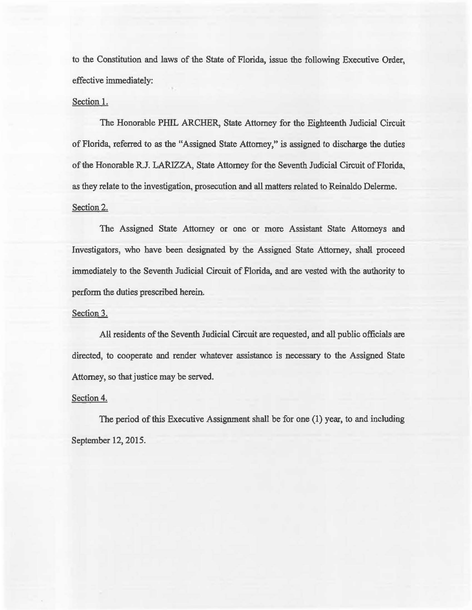to the Constitution and laws of 1he State of Florida, issue the following Executive Order, effective immediately:

## Section I.

The Honorable PIHL ARCHER, State Attorney for the Eighteenth Judicial Circuit of Florida, referred to as the "Assigned State Attomey/' is assigned to discharge the duties of the Honorable R.J. LARIZZA, State Attorney for the Seventh Judicial Circuit of Florida, as they relate to the investigation, prosecution and all matters related to Reinaldo Delerme. Section 2.

The Assigned State Attorney or one or more Assistant State Attorneys and Investigators, who have been designated by the Assigned State Attorney, shall proceed immediately to the Seventh Judicial Circuit of Florida, and are vested with the authority to perform the duties prescribed herein.

## Section 3.

All residents of the Seventh Judicial Circuit are requested, and all public officials are directed, to cooperate and render whatever assistance is necessary to the Assigned State Attorney, so that justice may be served.

## Section 4.

The period of this Executive Assignment shall be for one (1) year, to and including September 12, 2015.